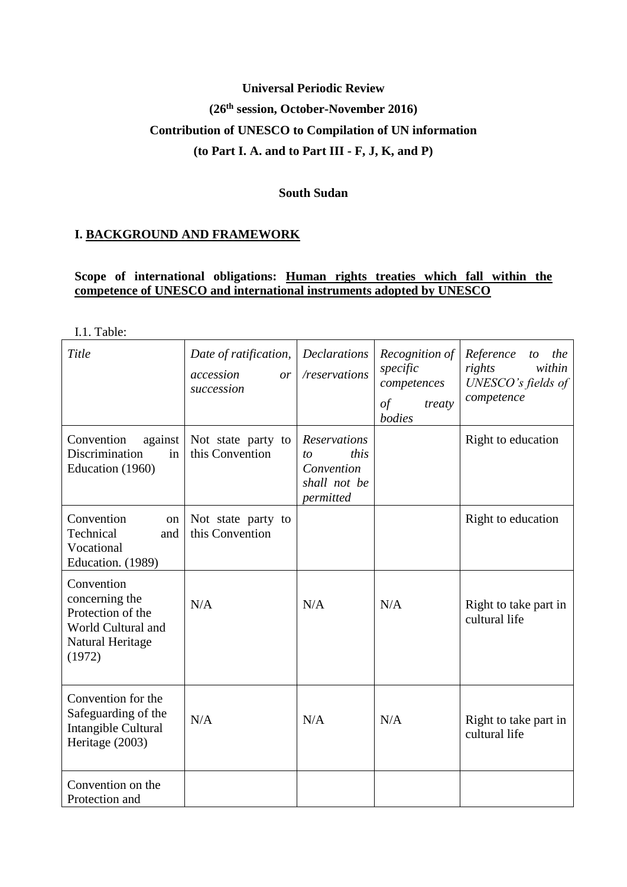# **Universal Periodic Review (26th session, October-November 2016) Contribution of UNESCO to Compilation of UN information (to Part I. A. and to Part III - F, J, K, and P)**

### **South Sudan**

# **I. BACKGROUND AND FRAMEWORK**

# **Scope of international obligations: Human rights treaties which fall within the competence of UNESCO and international instruments adopted by UNESCO**

I.1. Table:

| Title                                                                                                 | Date of ratification,<br>accession<br>or<br>succession | <b>Declarations</b><br>/reservations                                         | Recognition of<br>specific<br>competences<br>$\int$<br>treaty<br>bodies | Reference<br>the<br>to<br>within<br>rights<br>UNESCO's fields of<br>competence |
|-------------------------------------------------------------------------------------------------------|--------------------------------------------------------|------------------------------------------------------------------------------|-------------------------------------------------------------------------|--------------------------------------------------------------------------------|
| against<br>Convention<br>Discrimination<br>in<br>Education (1960)                                     | Not state party to<br>this Convention                  | <b>Reservations</b><br>this<br>to<br>Convention<br>shall not be<br>permitted |                                                                         | Right to education                                                             |
| Convention<br>on<br>Technical<br>and<br>Vocational<br>Education. (1989)                               | Not state party to<br>this Convention                  |                                                                              |                                                                         | Right to education                                                             |
| Convention<br>concerning the<br>Protection of the<br>World Cultural and<br>Natural Heritage<br>(1972) | N/A                                                    | N/A                                                                          | N/A                                                                     | Right to take part in<br>cultural life                                         |
| Convention for the<br>Safeguarding of the<br>Intangible Cultural<br>Heritage (2003)                   | N/A                                                    | N/A                                                                          | N/A                                                                     | Right to take part in<br>cultural life                                         |
| Convention on the<br>Protection and                                                                   |                                                        |                                                                              |                                                                         |                                                                                |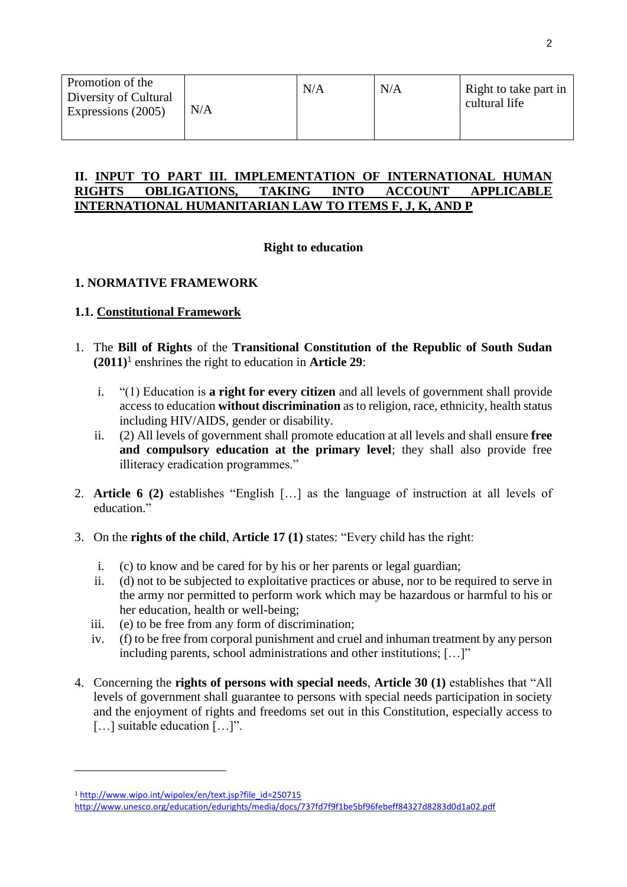| Promotion of the<br>Diversity of Cultural<br>Expressions (2005) | N/A | N/A | N/A | Right to take part in<br>cultural life |
|-----------------------------------------------------------------|-----|-----|-----|----------------------------------------|
|-----------------------------------------------------------------|-----|-----|-----|----------------------------------------|

### II. <u>INPUT TO PART III. IMPLEMENTATION OF INTERNATIONAL HUMAN</u><br>RIGHTS OBLIGATIONS, TAKING INTO ACCOUNT APPLICABLE **OBLIGATIONS. INTERNATIONAL HUMANITARIAN LAW TO ITEMS F, J, K, AND P**

# **Right to education**

# **1. NORMATIVE FRAMEWORK**

### **1.1. Constitutional Framework**

- 1. The **Bill of Rights** of the **Transitional Constitution of the Republic of South Sudan (2011)**<sup>1</sup> enshrines the right to education in **Article 29**:
	- i. "(1) Education is **a right for every citizen** and all levels of government shall provide access to education **without discrimination** as to religion, race, ethnicity, health status including HIV/AIDS, gender or disability.
	- ii. (2) All levels of government shall promote education at all levels and shall ensure **free and compulsory education at the primary level**; they shall also provide free illiteracy eradication programmes."
- 2. **Article 6 (2)** establishes "English […] as the language of instruction at all levels of education."
- 3. On the **rights of the child**, **Article 17 (1)** states: "Every child has the right:
	- i. (c) to know and be cared for by his or her parents or legal guardian;
	- ii. (d) not to be subjected to exploitative practices or abuse, nor to be required to serve in the army nor permitted to perform work which may be hazardous or harmful to his or her education, health or well-being;
	- iii. (e) to be free from any form of discrimination;
	- iv. (f) to be free from corporal punishment and cruel and inhuman treatment by any person including parents, school administrations and other institutions; […]"
- 4. Concerning the **rights of persons with special needs**, **Article 30 (1)** establishes that "All levels of government shall guarantee to persons with special needs participation in society and the enjoyment of rights and freedoms set out in this Constitution, especially access to […] suitable education […]".

<sup>1</sup> [http://www.wipo.int/wipolex/en/text.jsp?file\\_id=250715](http://www.wipo.int/wipolex/en/text.jsp?file_id=250715)

<http://www.unesco.org/education/edurights/media/docs/737fd7f9f1be5bf96febeff84327d8283d0d1a02.pdf>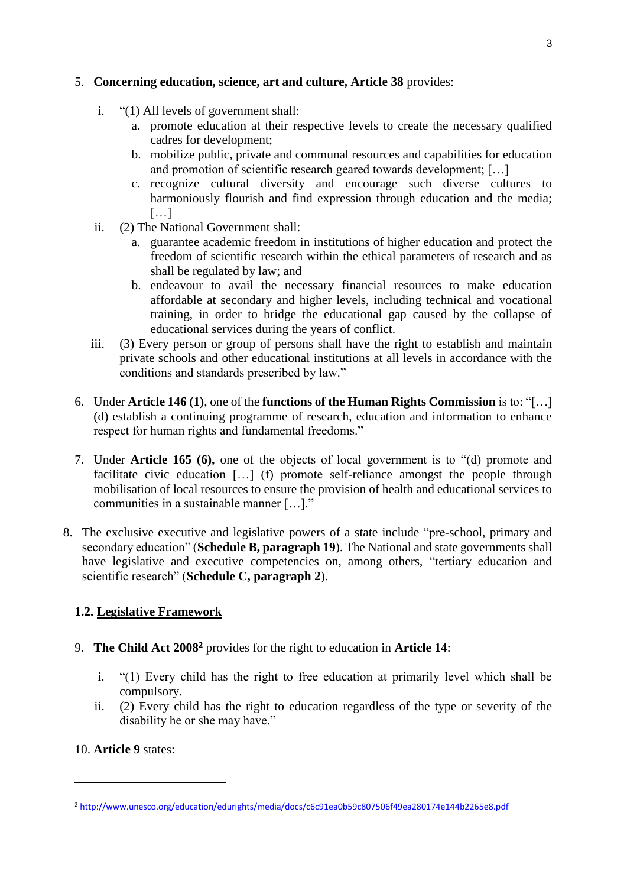# 5. **Concerning education, science, art and culture, Article 38** provides:

- i. "(1) All levels of government shall:
	- a. promote education at their respective levels to create the necessary qualified cadres for development;
	- b. mobilize public, private and communal resources and capabilities for education and promotion of scientific research geared towards development; […]
	- c. recognize cultural diversity and encourage such diverse cultures to harmoniously flourish and find expression through education and the media; […]
- ii. (2) The National Government shall:
	- a. guarantee academic freedom in institutions of higher education and protect the freedom of scientific research within the ethical parameters of research and as shall be regulated by law; and
	- b. endeavour to avail the necessary financial resources to make education affordable at secondary and higher levels, including technical and vocational training, in order to bridge the educational gap caused by the collapse of educational services during the years of conflict.
- iii. (3) Every person or group of persons shall have the right to establish and maintain private schools and other educational institutions at all levels in accordance with the conditions and standards prescribed by law."
- 6. Under **Article 146 (1)**, one of the **functions of the Human Rights Commission** is to: "[…] (d) establish a continuing programme of research, education and information to enhance respect for human rights and fundamental freedoms."
- 7. Under **Article 165 (6),** one of the objects of local government is to "(d) promote and facilitate civic education [...] (f) promote self-reliance amongst the people through mobilisation of local resources to ensure the provision of health and educational services to communities in a sustainable manner […]."
- 8. The exclusive executive and legislative powers of a state include "pre-school, primary and secondary education" (**Schedule B, paragraph 19**). The National and state governments shall have legislative and executive competencies on, among others, "tertiary education and scientific research" (**Schedule C, paragraph 2**).

# **1.2. Legislative Framework**

- 9. **The Child Act 2008<sup>2</sup>** provides for the right to education in **Article 14**:
	- i. "(1) Every child has the right to free education at primarily level which shall be compulsory.
	- ii. (2) Every child has the right to education regardless of the type or severity of the disability he or she may have."

# 10. **Article 9** states:

<sup>2</sup> <http://www.unesco.org/education/edurights/media/docs/c6c91ea0b59c807506f49ea280174e144b2265e8.pdf>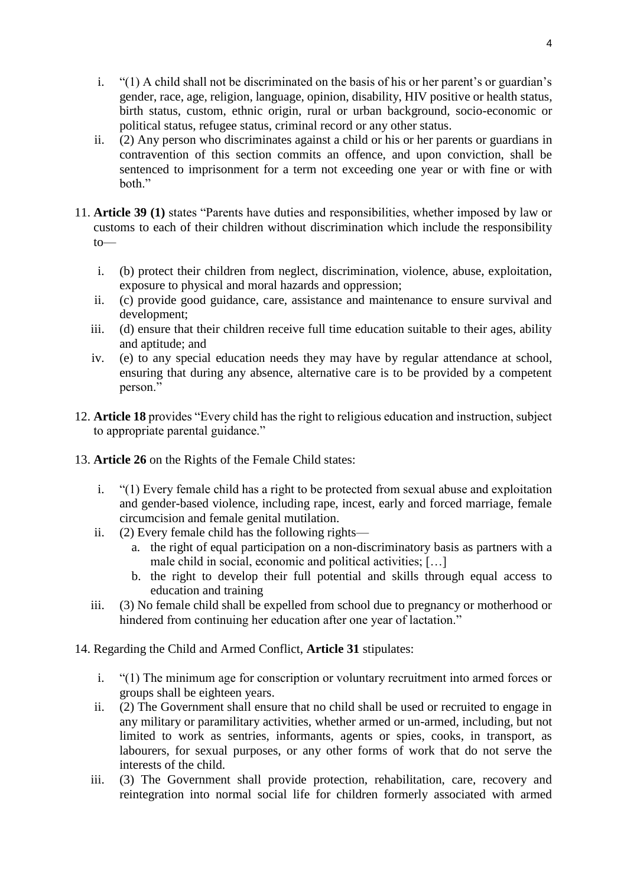- i. "(1) A child shall not be discriminated on the basis of his or her parent's or guardian's gender, race, age, religion, language, opinion, disability, HIV positive or health status, birth status, custom, ethnic origin, rural or urban background, socio-economic or political status, refugee status, criminal record or any other status.
- ii. (2) Any person who discriminates against a child or his or her parents or guardians in contravention of this section commits an offence, and upon conviction, shall be sentenced to imprisonment for a term not exceeding one year or with fine or with both."
- 11. **Article 39 (1)** states "Parents have duties and responsibilities, whether imposed by law or customs to each of their children without discrimination which include the responsibility to
	- i. (b) protect their children from neglect, discrimination, violence, abuse, exploitation, exposure to physical and moral hazards and oppression;
	- ii. (c) provide good guidance, care, assistance and maintenance to ensure survival and development;
	- iii. (d) ensure that their children receive full time education suitable to their ages, ability and aptitude; and
	- iv. (e) to any special education needs they may have by regular attendance at school, ensuring that during any absence, alternative care is to be provided by a competent person."
- 12. **Article 18** provides "Every child has the right to religious education and instruction, subject to appropriate parental guidance."
- 13. **Article 26** on the Rights of the Female Child states:
	- i. "(1) Every female child has a right to be protected from sexual abuse and exploitation and gender-based violence, including rape, incest, early and forced marriage, female circumcision and female genital mutilation.
	- ii. (2) Every female child has the following rights
		- a. the right of equal participation on a non-discriminatory basis as partners with a male child in social, economic and political activities; […]
		- b. the right to develop their full potential and skills through equal access to education and training
	- iii. (3) No female child shall be expelled from school due to pregnancy or motherhood or hindered from continuing her education after one year of lactation."
- 14. Regarding the Child and Armed Conflict, **Article 31** stipulates:
	- i. "(1) The minimum age for conscription or voluntary recruitment into armed forces or groups shall be eighteen years.
	- ii. (2) The Government shall ensure that no child shall be used or recruited to engage in any military or paramilitary activities, whether armed or un-armed, including, but not limited to work as sentries, informants, agents or spies, cooks, in transport, as labourers, for sexual purposes, or any other forms of work that do not serve the interests of the child.
	- iii. (3) The Government shall provide protection, rehabilitation, care, recovery and reintegration into normal social life for children formerly associated with armed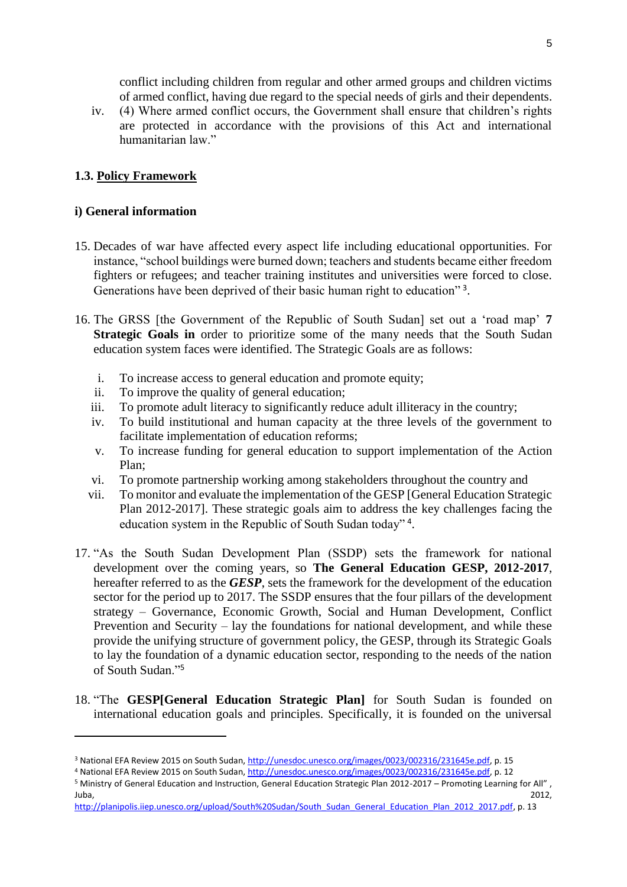conflict including children from regular and other armed groups and children victims of armed conflict, having due regard to the special needs of girls and their dependents.

iv. (4) Where armed conflict occurs, the Government shall ensure that children's rights are protected in accordance with the provisions of this Act and international humanitarian law."

# **1.3. Policy Framework**

# **i) General information**

- 15. Decades of war have affected every aspect life including educational opportunities. For instance, "school buildings were burned down; teachers and students became either freedom fighters or refugees; and teacher training institutes and universities were forced to close. Generations have been deprived of their basic human right to education"<sup>3</sup>.
- 16. The GRSS [the Government of the Republic of South Sudan] set out a 'road map' **7 Strategic Goals in** order to prioritize some of the many needs that the South Sudan education system faces were identified. The Strategic Goals are as follows:
	- i. To increase access to general education and promote equity;
	- ii. To improve the quality of general education;
	- iii. To promote adult literacy to significantly reduce adult illiteracy in the country;
	- iv. To build institutional and human capacity at the three levels of the government to facilitate implementation of education reforms;
	- v. To increase funding for general education to support implementation of the Action Plan;
	- vi. To promote partnership working among stakeholders throughout the country and
	- vii. To monitor and evaluate the implementation of the GESP [General Education Strategic Plan 2012-2017]. These strategic goals aim to address the key challenges facing the education system in the Republic of South Sudan today"<sup>4</sup>.
- 17. "As the South Sudan Development Plan (SSDP) sets the framework for national development over the coming years, so **The General Education GESP, 2012-2017**, hereafter referred to as the *GESP*, sets the framework for the development of the education sector for the period up to 2017. The SSDP ensures that the four pillars of the development strategy – Governance, Economic Growth, Social and Human Development, Conflict Prevention and Security – lay the foundations for national development, and while these provide the unifying structure of government policy, the GESP, through its Strategic Goals to lay the foundation of a dynamic education sector, responding to the needs of the nation of South Sudan."<sup>5</sup>
- 18. "The **GESP[General Education Strategic Plan]** for South Sudan is founded on international education goals and principles. Specifically, it is founded on the universal

<sup>3</sup> National EFA Review 2015 on South Sudan[, http://unesdoc.unesco.org/images/0023/002316/231645e.pdf,](http://unesdoc.unesco.org/images/0023/002316/231645e.pdf) p. 15

<sup>4</sup> National EFA Review 2015 on South Sudan[, http://unesdoc.unesco.org/images/0023/002316/231645e.pdf,](http://unesdoc.unesco.org/images/0023/002316/231645e.pdf) p. 12

<sup>5</sup> Ministry of General Education and Instruction, General Education Strategic Plan 2012-2017 – Promoting Learning for All" , Juba, 2012,

[http://planipolis.iiep.unesco.org/upload/South%20Sudan/South\\_Sudan\\_General\\_Education\\_Plan\\_2012\\_2017.pdf,](http://planipolis.iiep.unesco.org/upload/South%20Sudan/South_Sudan_General_Education_Plan_2012_2017.pdf) p. 13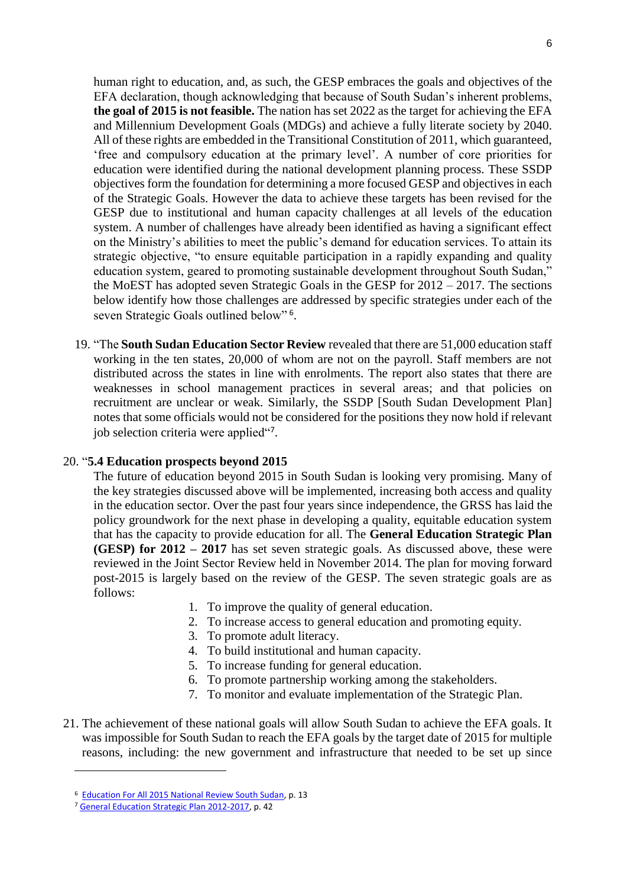human right to education, and, as such, the GESP embraces the goals and objectives of the EFA declaration, though acknowledging that because of South Sudan's inherent problems, **the goal of 2015 is not feasible.** The nation has set 2022 as the target for achieving the EFA and Millennium Development Goals (MDGs) and achieve a fully literate society by 2040. All of these rights are embedded in the Transitional Constitution of 2011, which guaranteed, 'free and compulsory education at the primary level'. A number of core priorities for education were identified during the national development planning process. These SSDP objectives form the foundation for determining a more focused GESP and objectives in each of the Strategic Goals. However the data to achieve these targets has been revised for the GESP due to institutional and human capacity challenges at all levels of the education system. A number of challenges have already been identified as having a significant effect on the Ministry's abilities to meet the public's demand for education services. To attain its strategic objective, "to ensure equitable participation in a rapidly expanding and quality education system, geared to promoting sustainable development throughout South Sudan," the MoEST has adopted seven Strategic Goals in the GESP for 2012 – 2017. The sections below identify how those challenges are addressed by specific strategies under each of the seven Strategic Goals outlined below"<sup>6</sup>.

19. "The **South Sudan Education Sector Review** revealed that there are 51,000 education staff working in the ten states, 20,000 of whom are not on the payroll. Staff members are not distributed across the states in line with enrolments. The report also states that there are weaknesses in school management practices in several areas; and that policies on recruitment are unclear or weak. Similarly, the SSDP [South Sudan Development Plan] notes that some officials would not be considered for the positions they now hold if relevant job selection criteria were applied"?.

#### 20. "**5.4 Education prospects beyond 2015**

The future of education beyond 2015 in South Sudan is looking very promising. Many of the key strategies discussed above will be implemented, increasing both access and quality in the education sector. Over the past four years since independence, the GRSS has laid the policy groundwork for the next phase in developing a quality, equitable education system that has the capacity to provide education for all. The **General Education Strategic Plan (GESP) for 2012 – 2017** has set seven strategic goals. As discussed above, these were reviewed in the Joint Sector Review held in November 2014. The plan for moving forward post-2015 is largely based on the review of the GESP. The seven strategic goals are as follows:

- 1. To improve the quality of general education.
- 2. To increase access to general education and promoting equity.
- 3. To promote adult literacy.
- 4. To build institutional and human capacity.
- 5. To increase funding for general education.
- 6. To promote partnership working among the stakeholders.
- 7. To monitor and evaluate implementation of the Strategic Plan.
- 21. The achievement of these national goals will allow South Sudan to achieve the EFA goals. It was impossible for South Sudan to reach the EFA goals by the target date of 2015 for multiple reasons, including: the new government and infrastructure that needed to be set up since

<sup>&</sup>lt;sup>6</sup> [Education For All 2015 National Review South Sudan,](http://unesdoc.unesco.org/images/0023/002316/231645e.pdf,) p. 13

<sup>7</sup> [General Education Strategic Plan 2012-2017,](http://planipolis.iiep.unesco.org/upload/South%20Sudan/South_Sudan_General_Education_Plan_2012_2017.pdf) p. 42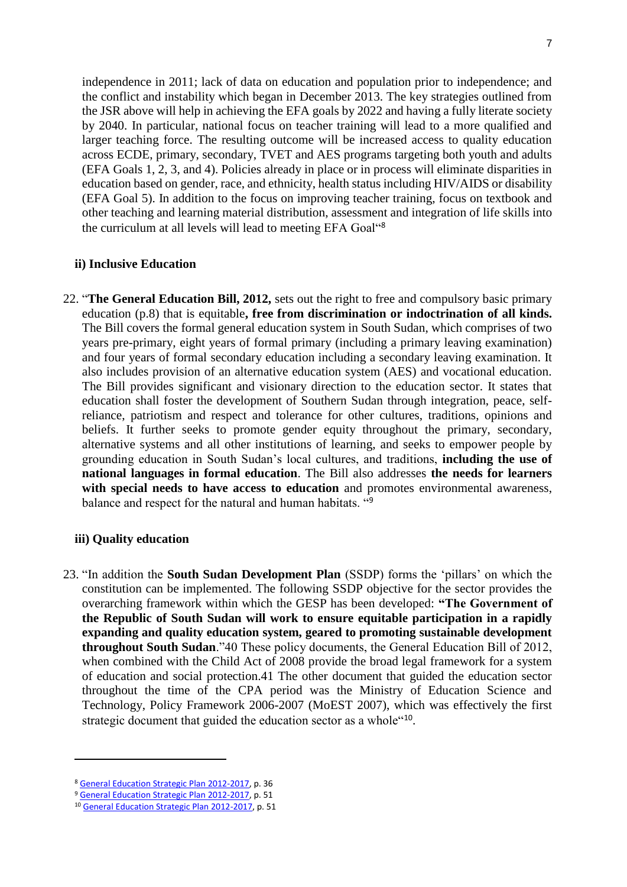independence in 2011; lack of data on education and population prior to independence; and the conflict and instability which began in December 2013. The key strategies outlined from the JSR above will help in achieving the EFA goals by 2022 and having a fully literate society by 2040. In particular, national focus on teacher training will lead to a more qualified and larger teaching force. The resulting outcome will be increased access to quality education across ECDE, primary, secondary, TVET and AES programs targeting both youth and adults (EFA Goals 1, 2, 3, and 4). Policies already in place or in process will eliminate disparities in education based on gender, race, and ethnicity, health status including HIV/AIDS or disability (EFA Goal 5). In addition to the focus on improving teacher training, focus on textbook and other teaching and learning material distribution, assessment and integration of life skills into the curriculum at all levels will lead to meeting EFA Goal"<sup>8</sup>

#### **ii) Inclusive Education**

22. "**The General Education Bill, 2012,** sets out the right to free and compulsory basic primary education (p.8) that is equitable**, free from discrimination or indoctrination of all kinds.** The Bill covers the formal general education system in South Sudan, which comprises of two years pre-primary, eight years of formal primary (including a primary leaving examination) and four years of formal secondary education including a secondary leaving examination. It also includes provision of an alternative education system (AES) and vocational education. The Bill provides significant and visionary direction to the education sector. It states that education shall foster the development of Southern Sudan through integration, peace, selfreliance, patriotism and respect and tolerance for other cultures, traditions, opinions and beliefs. It further seeks to promote gender equity throughout the primary, secondary, alternative systems and all other institutions of learning, and seeks to empower people by grounding education in South Sudan's local cultures, and traditions, **including the use of national languages in formal education**. The Bill also addresses **the needs for learners with special needs to have access to education** and promotes environmental awareness, balance and respect for the natural and human habitats. "<sup>9</sup>

#### **iii) Quality education**

 $\overline{\phantom{a}}$ 

23. "In addition the **South Sudan Development Plan** (SSDP) forms the 'pillars' on which the constitution can be implemented. The following SSDP objective for the sector provides the overarching framework within which the GESP has been developed: **"The Government of the Republic of South Sudan will work to ensure equitable participation in a rapidly expanding and quality education system, geared to promoting sustainable development throughout South Sudan**."40 These policy documents, the General Education Bill of 2012, when combined with the Child Act of 2008 provide the broad legal framework for a system of education and social protection.41 The other document that guided the education sector throughout the time of the CPA period was the Ministry of Education Science and Technology, Policy Framework 2006-2007 (MoEST 2007), which was effectively the first strategic document that guided the education sector as a whole"<sup>10</sup>.

<sup>8</sup> [General Education Strategic Plan 2012-2017,](http://planipolis.iiep.unesco.org/upload/South%20Sudan/South_Sudan_General_Education_Plan_2012_2017.pdf) p. 36

<sup>9</sup> [General Education Strategic Plan 2012-2017,](http://planipolis.iiep.unesco.org/upload/South%20Sudan/South_Sudan_General_Education_Plan_2012_2017.pdf) p. 51

<sup>10</sup> [General Education Strategic Plan 2012-2017,](http://planipolis.iiep.unesco.org/upload/South%20Sudan/South_Sudan_General_Education_Plan_2012_2017.pdf) p. 51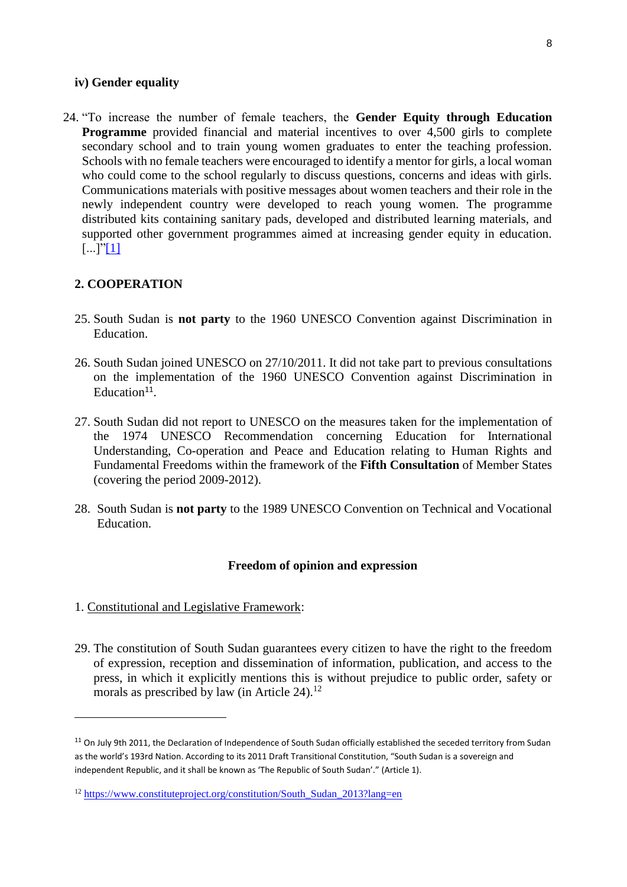#### **iv) Gender equality**

24. "To increase the number of female teachers, the **Gender Equity through Education Programme** provided financial and material incentives to over 4,500 girls to complete secondary school and to train young women graduates to enter the teaching profession. Schools with no female teachers were encouraged to identify a mentor for girls, a local woman who could come to the school regularly to discuss questions, concerns and ideas with girls. Communications materials with positive messages about women teachers and their role in the newly independent country were developed to reach young women. The programme distributed kits containing sanitary pads, developed and distributed learning materials, and supported other government programmes aimed at increasing gender equity in education. [...]["\[1\]](https://srvu5.unesco.org/education/edurights/index.php?action=rtfEdit&name=sub-C_SUBTHEME-1664-col-C_SUBTHEME_POLICY&title=Policy#_ftn1)

### **2. COOPERATION**

- 25. South Sudan is **not party** to the 1960 UNESCO Convention against Discrimination in Education.
- 26. South Sudan joined UNESCO on 27/10/2011. It did not take part to previous consultations on the implementation of the 1960 UNESCO Convention against Discrimination in  $Education<sup>11</sup>$ .
- 27. South Sudan did not report to UNESCO on the measures taken for the implementation of the 1974 UNESCO Recommendation concerning Education for International Understanding, Co-operation and Peace and Education relating to Human Rights and Fundamental Freedoms within the framework of the **Fifth Consultation** of Member States (covering the period 2009-2012).
- 28. South Sudan is **not party** to the 1989 UNESCO Convention on Technical and Vocational Education.

#### **Freedom of opinion and expression**

1. Constitutional and Legislative Framework:

 $\overline{a}$ 

29. The constitution of South Sudan guarantees every citizen to have the right to the freedom of expression, reception and dissemination of information, publication, and access to the press, in which it explicitly mentions this is without prejudice to public order, safety or morals as prescribed by law (in Article  $24$ ).<sup>12</sup>

<sup>&</sup>lt;sup>11</sup> On July 9th 2011, the Declaration of Independence of South Sudan officially established the seceded territory from Sudan as the world's 193rd Nation. According to its 2011 Draft Transitional Constitution, "South Sudan is a sovereign and independent Republic, and it shall be known as 'The Republic of South Sudan'." (Article 1).

<sup>12</sup> [https://www.constituteproject.org/constitution/South\\_Sudan\\_2013?lang=en](https://www.constituteproject.org/constitution/South_Sudan_2013?lang=en)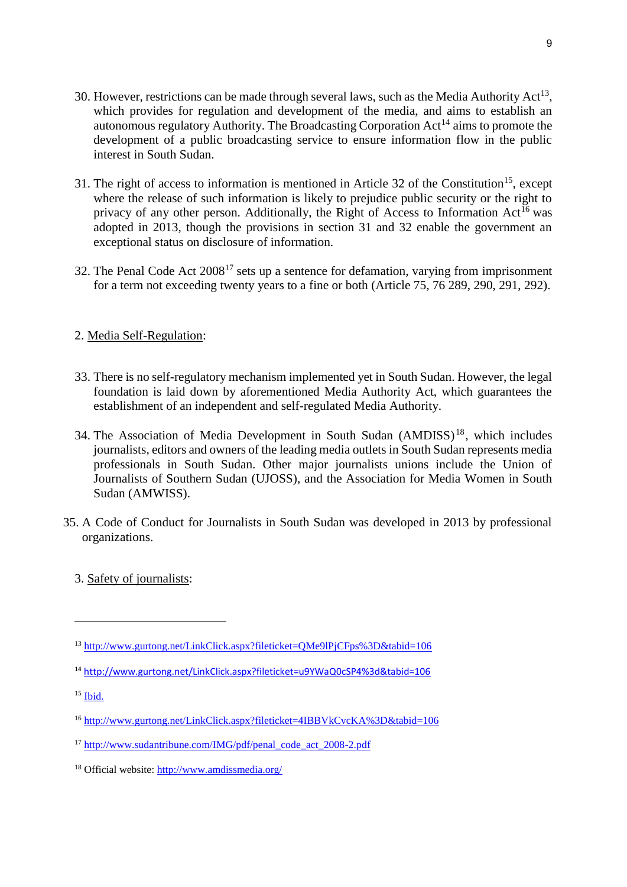- 30. However, restrictions can be made through several laws, such as the Media Authority  $Act^{13}$ , which provides for regulation and development of the media, and aims to establish an autonomous regulatory Authority. The Broadcasting Corporation  $Act^{14}$  aims to promote the development of a public broadcasting service to ensure information flow in the public interest in South Sudan.
- 31. The right of access to information is mentioned in Article 32 of the Constitution<sup>15</sup>, except where the release of such information is likely to prejudice public security or the right to privacy of any other person. Additionally, the Right of Access to Information  $Act^{16}$  was adopted in 2013, though the provisions in section 31 and 32 enable the government an exceptional status on disclosure of information.
- 32. The Penal Code Act  $2008^{17}$  sets up a sentence for defamation, varying from imprisonment for a term not exceeding twenty years to a fine or both (Article 75, 76 289, 290, 291, 292).

# 2. Media Self-Regulation:

- 33. There is no self-regulatory mechanism implemented yet in South Sudan. However, the legal foundation is laid down by aforementioned Media Authority Act, which guarantees the establishment of an independent and self-regulated Media Authority.
- 34. The Association of Media Development in South Sudan (AMDISS) <sup>18</sup>, which includes journalists, editors and owners of the leading media outlets in South Sudan represents media professionals in South Sudan. Other major journalists unions include the Union of Journalists of Southern Sudan (UJOSS), and the Association for Media Women in South Sudan (AMWISS).
- 35. A Code of Conduct for Journalists in South Sudan was developed in 2013 by professional organizations.
	- 3. Safety of journalists:

<sup>13</sup> <http://www.gurtong.net/LinkClick.aspx?fileticket=QMe9lPjCFps%3D&tabid=106>

<sup>14</sup> <http://www.gurtong.net/LinkClick.aspx?fileticket=u9YWaQ0cSP4%3d&tabid=106>

 $15$  [Ibid.](https://www.constituteproject.org/constitution/South_Sudan_2013?lang=en)

<sup>16</sup> <http://www.gurtong.net/LinkClick.aspx?fileticket=4IBBVkCvcKA%3D&tabid=106>

<sup>&</sup>lt;sup>17</sup> [http://www.sudantribune.com/IMG/pdf/penal\\_code\\_act\\_2008-2.pdf](http://www.sudantribune.com/IMG/pdf/penal_code_act_2008-2.pdf)

<sup>&</sup>lt;sup>18</sup> Official website:<http://www.amdissmedia.org/>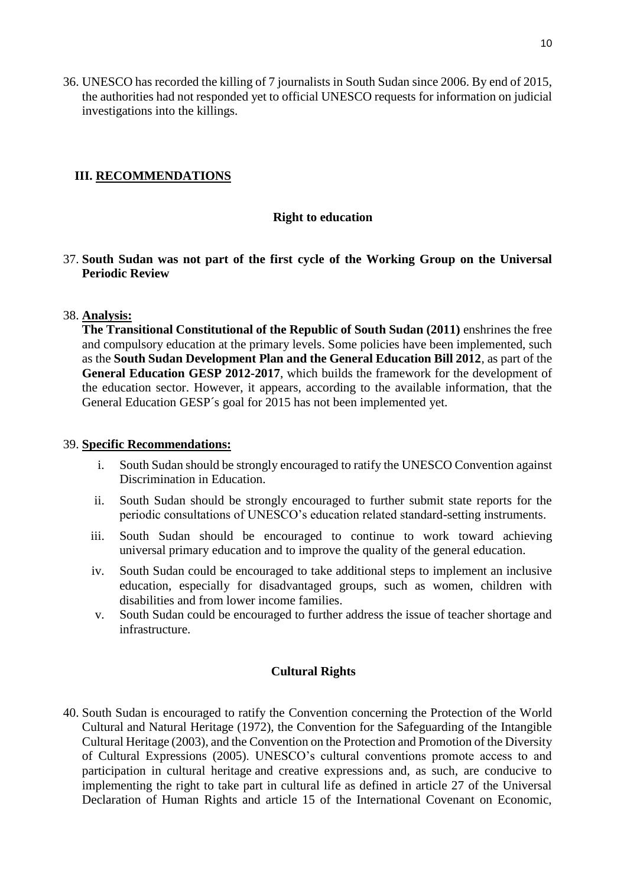36. UNESCO has recorded the killing of 7 journalists in South Sudan since 2006. By end of 2015, the authorities had not responded yet to official UNESCO requests for information on judicial investigations into the killings.

# **III. RECOMMENDATIONS**

### **Right to education**

### 37. **South Sudan was not part of the first cycle of the Working Group on the Universal Periodic Review**

### 38. **Analysis:**

**The Transitional Constitutional of the Republic of South Sudan (2011)** enshrines the free and compulsory education at the primary levels. Some policies have been implemented, such as the **South Sudan Development Plan and the General Education Bill 2012**, as part of the **General Education GESP 2012-2017**, which builds the framework for the development of the education sector. However, it appears, according to the available information, that the General Education GESP´s goal for 2015 has not been implemented yet.

### 39. **Specific Recommendations:**

- i. South Sudan should be strongly encouraged to ratify the UNESCO Convention against Discrimination in Education.
- ii. South Sudan should be strongly encouraged to further submit state reports for the periodic consultations of UNESCO's education related standard-setting instruments.
- iii. South Sudan should be encouraged to continue to work toward achieving universal primary education and to improve the quality of the general education.
- iv. South Sudan could be encouraged to take additional steps to implement an inclusive education, especially for disadvantaged groups, such as women, children with disabilities and from lower income families.
- v. South Sudan could be encouraged to further address the issue of teacher shortage and infrastructure.

### **Cultural Rights**

40. South Sudan is encouraged to ratify the Convention concerning the Protection of the World Cultural and Natural Heritage (1972), the Convention for the Safeguarding of the Intangible Cultural Heritage (2003), and the Convention on the Protection and Promotion of the Diversity of Cultural Expressions (2005). UNESCO's cultural conventions promote access to and participation in cultural heritage and creative expressions and, as such, are conducive to implementing the right to take part in cultural life as defined in article 27 of the Universal Declaration of Human Rights and article 15 of the International Covenant on Economic,